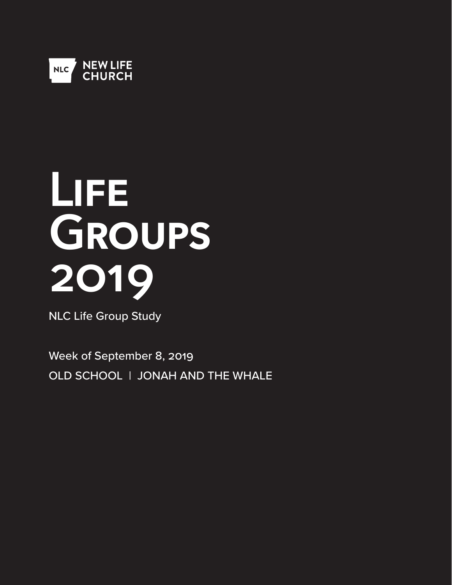

# **Life Groups 2019**

NLC Life Group Study

Week of September 8, 2019 OLD SCHOOL | JONAH AND THE WHALE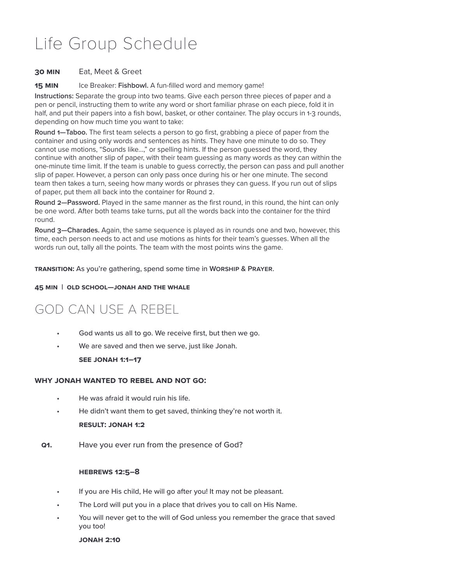## Life Group Schedule

#### **30 Min** Eat, Meet & Greet

**15 MIN** Ice Breaker: Fishbowl. A fun-filled word and memory game!

**Instructions:** Separate the group into two teams. Give each person three pieces of paper and a pen or pencil, instructing them to write any word or short familiar phrase on each piece, fold it in half, and put their papers into a fish bowl, basket, or other container. The play occurs in 1-3 rounds, depending on how much time you want to take:

**Round 1—Taboo.** The first team selects a person to go first, grabbing a piece of paper from the container and using only words and sentences as hints. They have one minute to do so. They cannot use motions, "Sounds like...," or spelling hints. If the person guessed the word, they continue with another slip of paper, with their team guessing as many words as they can within the one-minute time limit. If the team is unable to guess correctly, the person can pass and pull another slip of paper. However, a person can only pass once during his or her one minute. The second team then takes a turn, seeing how many words or phrases they can guess. If you run out of slips of paper, put them all back into the container for Round 2.

**Round 2—Password.** Played in the same manner as the first round, in this round, the hint can only be one word. After both teams take turns, put all the words back into the container for the third round.

**Round 3—Charades.** Again, the same sequence is played as in rounds one and two, however, this time, each person needs to act and use motions as hints for their team's guesses. When all the words run out, tally all the points. The team with the most points wins the game.

**Transition:** As you're gathering, spend some time in **Worship & Prayer**.

#### **45 Min | Old School—JONAH AND THE WHALE**

### GOD CAN USE A REBEL

- God wants us all to go. We receive first, but then we go.
- We are saved and then we serve, just like Jonah.

**See Jonah 1:1–17**

#### **Why jonah wanted to rebel and not go:**

- He was afraid it would ruin his life.
- He didn't want them to get saved, thinking they're not worth it. **Result: Jonah 1:2**
- **Q1.** Have you ever run from the presence of God?

#### **Hebrews 12:5–8**

- If you are His child, He will go after you! It may not be pleasant.
- The Lord will put you in a place that drives you to call on His Name.
- You will never get to the will of God unless you remember the grace that saved you too!

#### **Jonah 2:10**